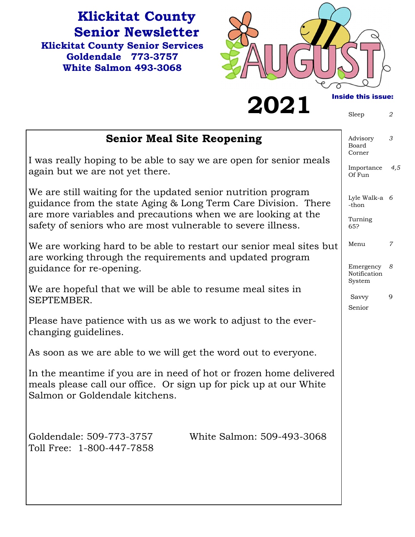**Klickitat County Senior Newsletter Klickitat County Senior Services Goldendale 773-3757 White Salmon 493-3068** 



**2021 Inside this issue:** 

| <b>Senior Meal Site Reopening</b>                                                                                                                                                                | Advisory<br>Board<br>Corner         | 3   |
|--------------------------------------------------------------------------------------------------------------------------------------------------------------------------------------------------|-------------------------------------|-----|
| I was really hoping to be able to say we are open for senior meals<br>again but we are not yet there.                                                                                            | Importance<br>Of Fun                | 4,5 |
| We are still waiting for the updated senior nutrition program<br>guidance from the state Aging & Long Term Care Division. There<br>are more variables and precautions when we are looking at the | Lyle Walk-a 6<br>-thon              |     |
| safety of seniors who are most vulnerable to severe illness.                                                                                                                                     | Turning<br>65?                      |     |
| We are working hard to be able to restart our senior meal sites but<br>are working through the requirements and updated program                                                                  | Menu                                | 7   |
| guidance for re-opening.                                                                                                                                                                         | Emergency<br>Notification<br>System | 8   |
| We are hopeful that we will be able to resume meal sites in<br>SEPTEMBER.                                                                                                                        | Savvy<br>Senior                     | 9   |
| Please have patience with us as we work to adjust to the ever-<br>changing guidelines.                                                                                                           |                                     |     |
| As soon as we are able to we will get the word out to everyone.                                                                                                                                  |                                     |     |
| In the meantime if you are in need of hot or frozen home delivered<br>meals please call our office. Or sign up for pick up at our White<br>Salmon or Goldendale kitchens.                        |                                     |     |
| Goldendale: 509-773-3757<br>White Salmon: 509-493-3068<br>Toll Free: 1-800-447-7858                                                                                                              |                                     |     |
|                                                                                                                                                                                                  |                                     |     |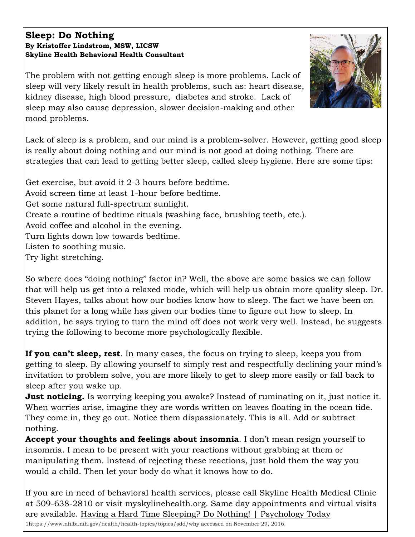#### **Sleep: Do Nothing By Kristoffer Lindstrom, MSW, LICSW Skyline Health Behavioral Health Consultant**

The problem with not getting enough sleep is more problems. Lack of sleep will very likely result in health problems, such as: heart disease, kidney disease, high blood pressure, diabetes and stroke. Lack of sleep may also cause depression, slower decision-making and other mood problems.

Lack of sleep is a problem, and our mind is a problem-solver. However, getting good sleep is really about doing nothing and our mind is not good at doing nothing. There are strategies that can lead to getting better sleep, called sleep hygiene. Here are some tips:

Get exercise, but avoid it 2-3 hours before bedtime. Avoid screen time at least 1-hour before bedtime. Get some natural full-spectrum sunlight. Create a routine of bedtime rituals (washing face, brushing teeth, etc.). Avoid coffee and alcohol in the evening. Turn lights down low towards bedtime. Listen to soothing music. Try light stretching.

So where does "doing nothing" factor in? Well, the above are some basics we can follow that will help us get into a relaxed mode, which will help us obtain more quality sleep. Dr. Steven Hayes, talks about how our bodies know how to sleep. The fact we have been on this planet for a long while has given our bodies time to figure out how to sleep. In addition, he says trying to turn the mind off does not work very well. Instead, he suggests trying the following to become more psychologically flexible.

**If you can't sleep, rest**. In many cases, the focus on trying to sleep, keeps you from getting to sleep. By allowing yourself to simply rest and respectfully declining your mind's invitation to problem solve, you are more likely to get to sleep more easily or fall back to sleep after you wake up.

**Just noticing.** Is worrying keeping you awake? Instead of ruminating on it, just notice it. When worries arise, imagine they are words written on leaves floating in the ocean tide. They come in, they go out. Notice them dispassionately. This is all. Add or subtract nothing.

**Accept your thoughts and feelings about insomnia**. I don't mean resign yourself to insomnia. I mean to be present with your reactions without grabbing at them or manipulating them. Instead of rejecting these reactions, just hold them the way you would a child. Then let your body do what it knows how to do.

If you are in need of behavioral health services, please call Skyline Health Medical Clinic at 509-638-2810 or visit myskylinehealth.org. Same day appointments and virtual visits are available. Having a Hard Time Sleeping? Do Nothing! | Psychology Today

1https://www.nhlbi.nih.gov/health/health-topics/topics/sdd/why accessed on November 29, 2016.

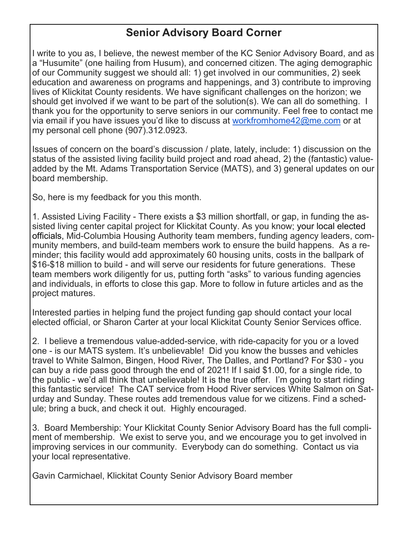# **Senior Advisory Board Corner**

I write to you as, I believe, the newest member of the KC Senior Advisory Board, and as a "Husumite" (one hailing from Husum), and concerned citizen. The aging demographic of our Community suggest we should all: 1) get involved in our communities, 2) seek education and awareness on programs and happenings, and 3) contribute to improving lives of Klickitat County residents. We have significant challenges on the horizon; we should get involved if we want to be part of the solution(s). We can all do something. I thank you for the opportunity to serve seniors in our community. Feel free to contact me via email if you have issues you'd like to discuss at workfromhome42@me.com or at my personal cell phone (907).312.0923.

Issues of concern on the board's discussion / plate, lately, include: 1) discussion on the status of the assisted living facility build project and road ahead, 2) the (fantastic) valueadded by the Mt. Adams Transportation Service (MATS), and 3) general updates on our board membership.

So, here is my feedback for you this month.

1. Assisted Living Facility - There exists a \$3 million shortfall, or gap, in funding the assisted living center capital project for Klickitat County. As you know; your local elected officials, Mid-Columbia Housing Authority team members, funding agency leaders, community members, and build-team members work to ensure the build happens. As a reminder; this facility would add approximately 60 housing units, costs in the ballpark of \$16-\$18 million to build - and will serve our residents for future generations. These team members work diligently for us, putting forth "asks" to various funding agencies and individuals, in efforts to close this gap. More to follow in future articles and as the project matures.

Interested parties in helping fund the project funding gap should contact your local elected official, or Sharon Carter at your local Klickitat County Senior Services office.

2. I believe a tremendous value-added-service, with ride-capacity for you or a loved one - is our MATS system. It's unbelievable! Did you know the busses and vehicles travel to White Salmon, Bingen, Hood River, The Dalles, and Portland? For \$30 - you can buy a ride pass good through the end of 2021! If I said \$1.00, for a single ride, to the public - we'd all think that unbelievable! It is the true offer. I'm going to start riding this fantastic service! The CAT service from Hood River services White Salmon on Saturday and Sunday. These routes add tremendous value for we citizens. Find a schedule; bring a buck, and check it out. Highly encouraged.

3. Board Membership: Your Klickitat County Senior Advisory Board has the full compliment of membership. We exist to serve you, and we encourage you to get involved in improving services in our community. Everybody can do something. Contact us via your local representative.

Gavin Carmichael, Klickitat County Senior Advisory Board member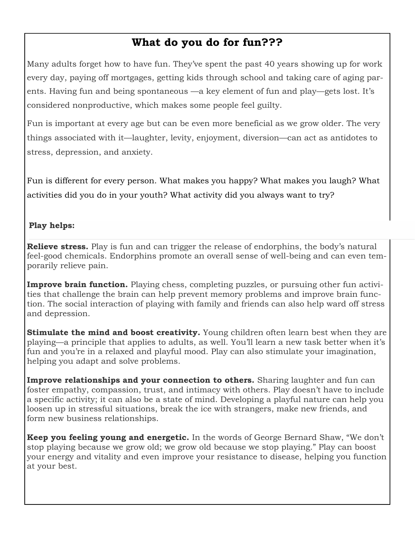# **What do you do for fun???**

Many adults forget how to have fun. They've spent the past 40 years showing up for work every day, paying off mortgages, getting kids through school and taking care of aging parents. Having fun and being spontaneous —a key element of fun and play—gets lost. It's considered nonproductive, which makes some people feel guilty.

Fun is important at every age but can be even more beneficial as we grow older. The very things associated with it—laughter, levity, enjoyment, diversion—can act as antidotes to stress, depression, and anxiety.

Fun is different for every person. What makes you happy? What makes you laugh? What activities did you do in your youth? What activity did you always want to try?

### **Play helps:**

**Relieve stress.** Play is fun and can trigger the release of endorphins, the body's natural feel-good chemicals. Endorphins promote an overall sense of well-being and can even temporarily relieve pain.

**Improve brain function.** Playing chess, completing puzzles, or pursuing other fun activities that challenge the brain can help prevent memory problems and improve brain function. The social interaction of playing with family and friends can also help ward off stress and depression.

**Stimulate the mind and boost creativity.** Young children often learn best when they are playing—a principle that applies to adults, as well. You'll learn a new task better when it's fun and you're in a relaxed and playful mood. Play can also stimulate your imagination, helping you adapt and solve problems.

**Improve relationships and your connection to others.** Sharing laughter and fun can foster empathy, compassion, trust, and intimacy with others. Play doesn't have to include a specific activity; it can also be a state of mind. Developing a playful nature can help you loosen up in stressful situations, break the ice with strangers, make new friends, and form new business relationships.

**Keep you feeling young and energetic.** In the words of George Bernard Shaw, "We don't stop playing because we grow old; we grow old because we stop playing." Play can boost your energy and vitality and even improve your resistance to disease, helping you function at your best.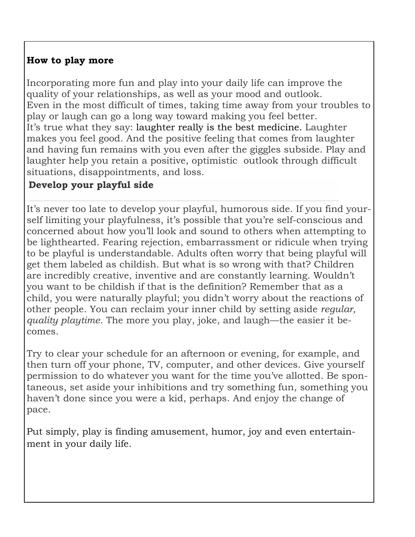# **How to play more**

Incorporating more fun and play into your daily life can improve the quality of your relationships, as well as your mood and outlook. Even in the most difficult of times, taking time away from your troubles to play or laugh can go a long way toward making you feel better. It's true what they say: laughter really is the best medicine. Laughter makes you feel good. And the positive feeling that comes from laughter and having fun remains with you even after the giggles subside. Play and laughter help you retain a positive, optimistic outlook through difficult situations, disappointments, and loss.

# **Develop your playful side**

It's never too late to develop your playful, humorous side. If you find yourself limiting your playfulness, it's possible that you're self-conscious and concerned about how you'll look and sound to others when attempting to be lighthearted. Fearing rejection, embarrassment or ridicule when trying to be playful is understandable. Adults often worry that being playful will get them labeled as childish. But what is so wrong with that? Children are incredibly creative, inventive and are constantly learning. Wouldn't you want to be childish if that is the definition? Remember that as a child, you were naturally playful; you didn't worry about the reactions of other people. You can reclaim your inner child by setting aside *regular, quality playtime*. The more you play, joke, and laugh—the easier it becomes.

Try to clear your schedule for an afternoon or evening, for example, and then turn off your phone, TV, computer, and other devices. Give yourself permission to do whatever you want for the time you've allotted. Be spontaneous, set aside your inhibitions and try something fun, something you haven't done since you were a kid, perhaps. And enjoy the change of pace.

Put simply, play is finding amusement, humor, joy and even entertainment in your daily life.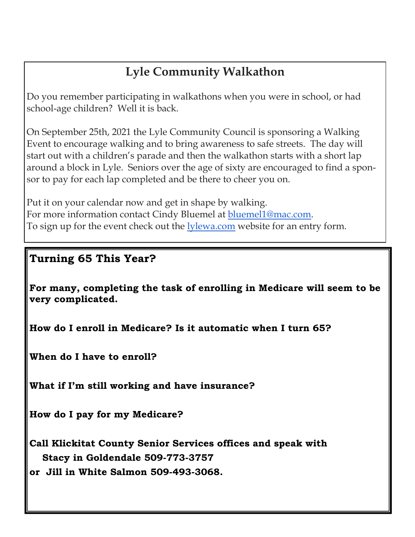# **Lyle Community Walkathon**

Do you remember participating in walkathons when you were in school, or had school-age children? Well it is back.

On September 25th, 2021 the Lyle Community Council is sponsoring a Walking Event to encourage walking and to bring awareness to safe streets. The day will start out with a children's parade and then the walkathon starts with a short lap around a block in Lyle. Seniors over the age of sixty are encouraged to find a sponsor to pay for each lap completed and be there to cheer you on.

Put it on your calendar now and get in shape by walking. For more information contact Cindy Bluemel at bluemel1@mac.com. To sign up for the event check out the **lylewa.com** website for an entry form.

# **Turning 65 This Year?**

**For many, completing the task of enrolling in Medicare will seem to be very complicated.** 

**How do I enroll in Medicare? Is it automatic when I turn 65?** 

**When do I have to enroll?** 

**What if I'm still working and have insurance?** 

**How do I pay for my Medicare?** 

**Call Klickitat County Senior Services offices and speak with Stacy in Goldendale 509-773-3757 or Jill in White Salmon 509-493-3068.**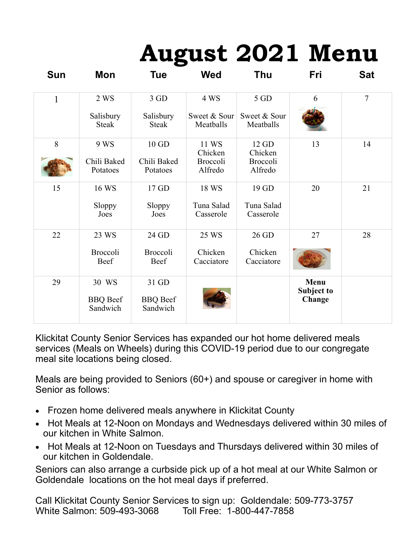# **August 2021 Menu**

| Sun          | Mon                                  | Tue                                  | <b>Wed</b>                                     | Thu                                            | Fri                          | <b>Sat</b> |
|--------------|--------------------------------------|--------------------------------------|------------------------------------------------|------------------------------------------------|------------------------------|------------|
| $\mathbf{1}$ | 2 WS                                 | 3 GD                                 | 4 WS                                           | 5 GD                                           | 6                            | $\tau$     |
|              | Salisbury<br><b>Steak</b>            | Salisbury<br><b>Steak</b>            | Sweet & Sour<br>Meatballs                      | Sweet & Sour<br>Meatballs                      |                              |            |
| 8            | 9 WS<br>Chili Baked<br>Potatoes      | 10 GD<br>Chili Baked<br>Potatoes     | 11 WS<br>Chicken<br><b>Broccoli</b><br>Alfredo | 12 GD<br>Chicken<br><b>Broccoli</b><br>Alfredo | 13                           | 14         |
| 15           | 16 WS<br>Sloppy<br>Joes              | 17 GD<br>Sloppy<br>Joes              | 18 WS<br>Tuna Salad<br>Casserole               | 19 GD<br>Tuna Salad<br>Casserole               | 20                           | 21         |
| 22           | 23 WS<br>Broccoli<br>Beef            | 24 GD<br>Broccoli<br>Beef            | 25 WS<br>Chicken<br>Cacciatore                 | 26 GD<br>Chicken<br>Cacciatore                 | 27                           | 28         |
| 29           | 30 WS<br><b>BBQ</b> Beef<br>Sandwich | 31 GD<br><b>BBQ</b> Beef<br>Sandwich |                                                |                                                | Menu<br>Subject to<br>Change |            |

Klickitat County Senior Services has expanded our hot home delivered meals services (Meals on Wheels) during this COVID-19 period due to our congregate meal site locations being closed.

Meals are being provided to Seniors (60+) and spouse or caregiver in home with Senior as follows:

- Frozen home delivered meals anywhere in Klickitat County
- Hot Meals at 12-Noon on Mondays and Wednesdays delivered within 30 miles of our kitchen in White Salmon.
- Hot Meals at 12-Noon on Tuesdays and Thursdays delivered within 30 miles of our kitchen in Goldendale.

Seniors can also arrange a curbside pick up of a hot meal at our White Salmon or Goldendale locations on the hot meal days if preferred.

Call Klickitat County Senior Services to sign up: Goldendale: 509-773-3757 White Salmon: 509-493-3068 Toll Free: 1-800-447-7858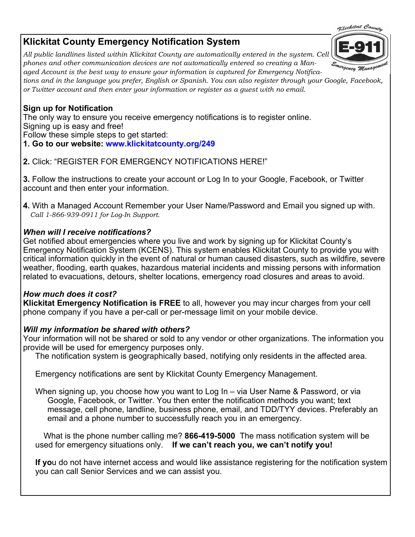# **Klickitat County Emergency Notification System**

*All public landlines listed within Klickitat County are automatically entered in the system. Cell phones and other communication devices are not automatically entered so creating a Managed Account is the best way to ensure your information is captured for Emergency Notifica-*

*tions and in the language you prefer, English or Spanish. You can also register through your Google, Facebook, or Twitter account and then enter your information or register as a guest with no email.* 

#### **Sign up for Notification**

 Signing up is easy and free! The only way to ensure you receive emergency notifications is to register online.

Follow these simple steps to get started:

- **1. Go to our website: www.klickitatcounty.org/249**
- **2.** Click: "REGISTER FOR EMERGENCY NOTIFICATIONS HERE!"

**3.** Follow the instructions to create your account or Log In to your Google, Facebook, or Twitter account and then enter your information.

**4.** With a Managed Account Remember your User Name/Password and Email you signed up with. *Call 1-866-939-0911 for Log-In Support.* 

### *When will I receive notifications?*

Get notified about emergencies where you live and work by signing up for Klickitat County's Emergency Notification System (KCENS). This system enables Klickitat County to provide you with critical information quickly in the event of natural or human caused disasters, such as wildfire, severe weather, flooding, earth quakes, hazardous material incidents and missing persons with information related to evacuations, detours, shelter locations, emergency road closures and areas to avoid.

#### *How much does it cost?*

**Klickitat Emergency Notification is FREE** to all, however you may incur charges from your cell phone company if you have a per-call or per-message limit on your mobile device.

#### *Will my information be shared with others?*

Your information will not be shared or sold to any vendor or other organizations. The information you provide will be used for emergency purposes only.

The notification system is geographically based, notifying only residents in the affected area.

Emergency notifications are sent by Klickitat County Emergency Management.

When signing up, you choose how you want to Log In – via User Name & Password, or via Google, Facebook, or Twitter. You then enter the notification methods you want; text message, cell phone, landline, business phone, email, and TDD/TYY devices. Preferably an email and a phone number to successfully reach you in an emergency.

 What is the phone number calling me? **866-419-5000** The mass notification system will be used for emergency situations only. **If we can't reach you, we can't notify you!** 

**If yo**u do not have internet access and would like assistance registering for the notification system you can call Senior Services and we can assist you.

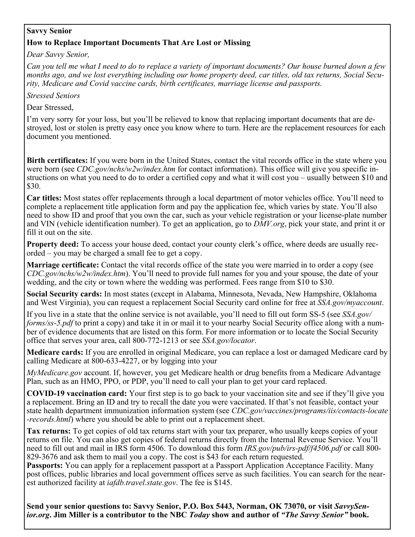#### **Savvy Senior**

#### **How to Replace Important Documents That Are Lost or Missing**

*Dear Savvy Senior,* 

*Can you tell me what I need to do to replace a variety of important documents? Our house burned down a few months ago, and we lost everything including our home property deed, car titles, old tax returns, Social Security, Medicare and Covid vaccine cards, birth certificates, marriage license and passports.* 

*Stressed Seniors* 

Dear Stressed,

I'm very sorry for your loss, but you'll be relieved to know that replacing important documents that are destroyed, lost or stolen is pretty easy once you know where to turn. Here are the replacement resources for each document you mentioned.

**Birth certificates:** If you were born in the United States, contact the vital records office in the state where you were born (see *CDC.gov/nchs/w2w/index.htm* for contact information). This office will give you specific instructions on what you need to do to order a certified copy and what it will cost you – usually between \$10 and \$30.

**Car titles:** Most states offer replacements through a local department of motor vehicles office. You'll need to complete a replacement title application form and pay the application fee, which varies by state. You'll also need to show ID and proof that you own the car, such as your vehicle registration or your license-plate number and VIN (vehicle identification number). To get an application, go to *DMV.org*, pick your state, and print it or fill it out on the site.

**Property deed:** To access your house deed, contact your county clerk's office, where deeds are usually recorded – you may be charged a small fee to get a copy.

**Marriage certificate:** Contact the vital records office of the state you were married in to order a copy (see *CDC.gov/nchs/w2w/index.htm*). You'll need to provide full names for you and your spouse, the date of your wedding, and the city or town where the wedding was performed. Fees range from \$10 to \$30.

**Social Security cards:** In most states (except in Alabama, Minnesota, Nevada, New Hampshire, Oklahoma and West Virginia), you can request a replacement Social Security card online for free at *SSA.gov/myaccount*.

If you live in a state that the online service is not available, you'll need to fill out form SS-5 (see *SSA.gov/ forms/ss-5.pdf* to print a copy) and take it in or mail it to your nearby Social Security office along with a number of evidence documents that are listed on this form. For more information or to locate the Social Security office that serves your area, call 800-772-1213 or see *SSA.gov/locator*.

**Medicare cards:** If you are enrolled in original Medicare, you can replace a lost or damaged Medicare card by calling Medicare at 800-633-4227, or by logging into your

*MyMedicare.gov* account. If, however, you get Medicare health or drug benefits from a Medicare Advantage Plan, such as an HMO, PPO, or PDP, you'll need to call your plan to get your card replaced.

**COVID-19 vaccination card:** Your first step is to go back to your vaccination site and see if they'll give you a replacement. Bring an ID and try to recall the date you were vaccinated. If that's not feasible, contact your state health department immunization information system (see *CDC.gov/vaccines/programs/iis/contacts-locate -records.html*) where you should be able to print out a replacement sheet.

**Tax returns:** To get copies of old tax returns start with your tax preparer, who usually keeps copies of your returns on file. You can also get copies of federal returns directly from the Internal Revenue Service. You'll need to fill out and mail in IRS form 4506. To download this form *IRS.gov/pub/irs-pdf/f4506.pdf* or call 800- 829-3676 and ask them to mail you a copy. The cost is \$43 for each return requested.

Passports: You can apply for a replacement passport at a Passport Application Acceptance Facility. Many post offices, public libraries and local government offices serve as such facilities. You can search for the nearest authorized facility at *iafdb.travel.state.gov*. The fee is \$145.

**Send your senior questions to: Savvy Senior, P.O. Box 5443, Norman, OK 73070, or visit** *SavvySenior.org***. Jim Miller is a contributor to the NBC** *Today* **show and author of** *"The Savvy Senior"* **book.**